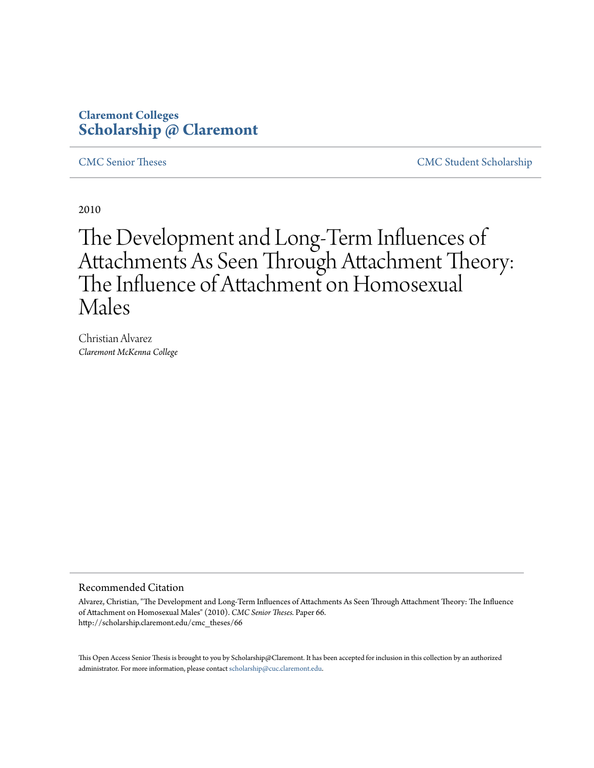## **Claremont Colleges [Scholarship @ Claremont](http://scholarship.claremont.edu)**

[CMC Senior Theses](http://scholarship.claremont.edu/cmc_theses) [CMC Student Scholarship](http://scholarship.claremont.edu/cmc_student)

2010

# The Development and Long-Term Influences of Attachments As Seen Through Attachment Theory: The Influence of Attachment on Homosexual Males

Christian Alvarez *Claremont McKenna College*

#### Recommended Citation

Alvarez, Christian, "The Development and Long-Term Influences of Attachments As Seen Through Attachment Theory: The Influence of Attachment on Homosexual Males" (2010). *CMC Senior Theses.* Paper 66. http://scholarship.claremont.edu/cmc\_theses/66

This Open Access Senior Thesis is brought to you by Scholarship@Claremont. It has been accepted for inclusion in this collection by an authorized administrator. For more information, please contact [scholarship@cuc.claremont.edu.](mailto:scholarship@cuc.claremont.edu)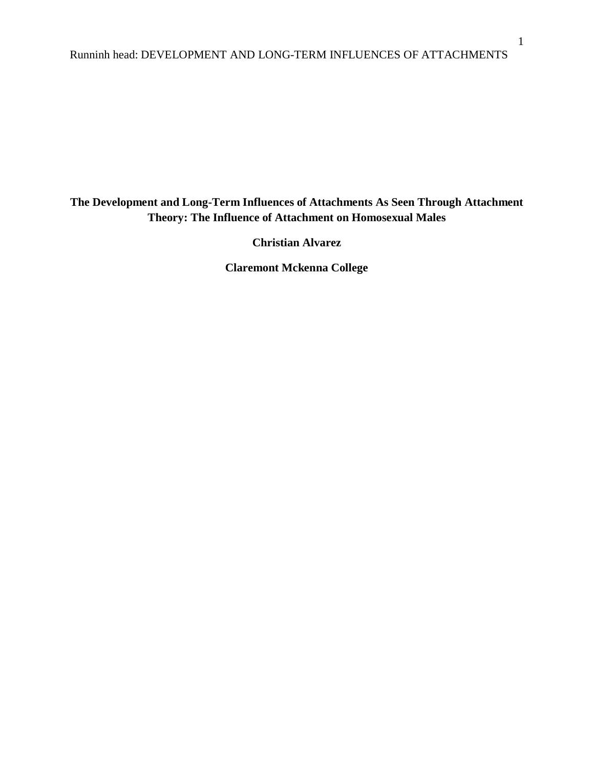### **The Development and Long-Term Influences of Attachments As Seen Through Attachment Theory: The Influence of Attachment on Homosexual Males**

**Christian Alvarez**

**Claremont Mckenna College**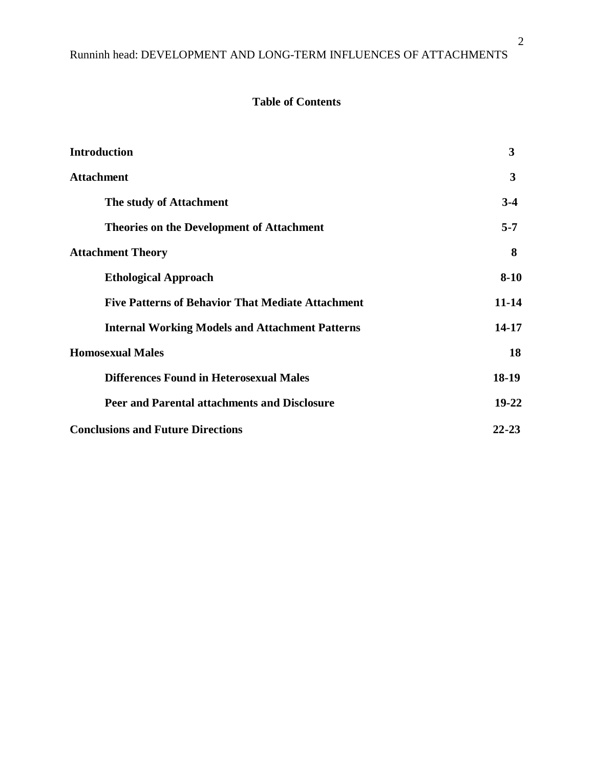### **Table of Contents**

| <b>Introduction</b>                                      | 3         |
|----------------------------------------------------------|-----------|
| <b>Attachment</b>                                        | 3         |
| The study of Attachment                                  | $3-4$     |
| <b>Theories on the Development of Attachment</b>         | $5 - 7$   |
| <b>Attachment Theory</b>                                 | 8         |
| <b>Ethological Approach</b>                              | $8 - 10$  |
| <b>Five Patterns of Behavior That Mediate Attachment</b> | $11 - 14$ |
| <b>Internal Working Models and Attachment Patterns</b>   | 14-17     |
| <b>Homosexual Males</b>                                  | 18        |
| <b>Differences Found in Heterosexual Males</b>           | 18-19     |
| Peer and Parental attachments and Disclosure             | 19-22     |
| <b>Conclusions and Future Directions</b>                 | $22 - 23$ |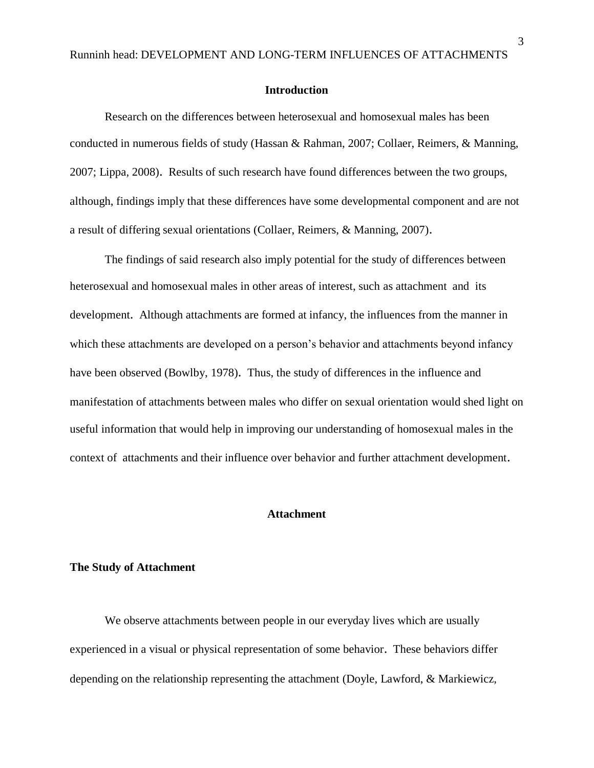#### **Introduction**

Research on the differences between heterosexual and homosexual males has been conducted in numerous fields of study (Hassan & Rahman, 2007; Collaer, Reimers, & Manning, 2007; Lippa, 2008). Results of such research have found differences between the two groups, although, findings imply that these differences have some developmental component and are not a result of differing sexual orientations (Collaer, Reimers, & Manning, 2007).

The findings of said research also imply potential for the study of differences between heterosexual and homosexual males in other areas of interest, such as attachment and its development. Although attachments are formed at infancy, the influences from the manner in which these attachments are developed on a person's behavior and attachments beyond infancy have been observed (Bowlby, 1978). Thus, the study of differences in the influence and manifestation of attachments between males who differ on sexual orientation would shed light on useful information that would help in improving our understanding of homosexual males in the context of attachments and their influence over behavior and further attachment development.

### **Attachment**

#### **The Study of Attachment**

We observe attachments between people in our everyday lives which are usually experienced in a visual or physical representation of some behavior. These behaviors differ depending on the relationship representing the attachment (Doyle, Lawford, & Markiewicz,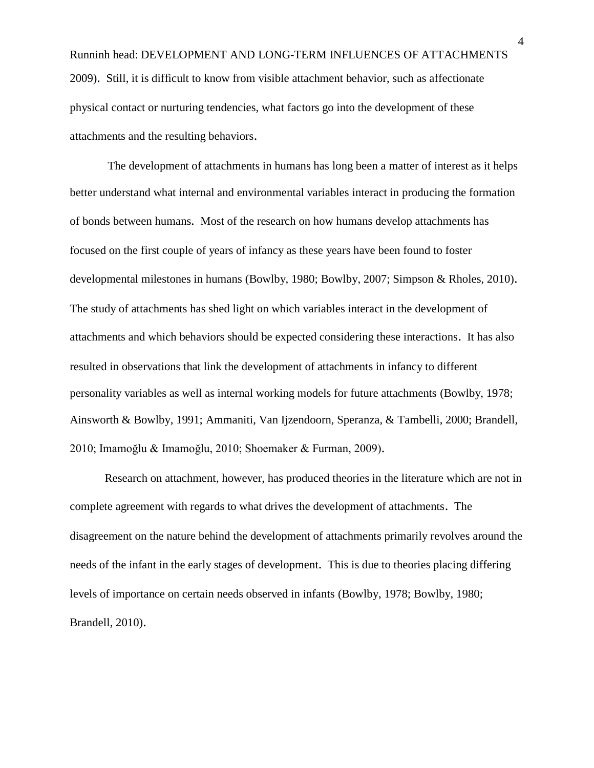Runninh head: DEVELOPMENT AND LONG-TERM INFLUENCES OF ATTACHMENTS 2009). Still, it is difficult to know from visible attachment behavior, such as affectionate physical contact or nurturing tendencies, what factors go into the development of these attachments and the resulting behaviors.

The development of attachments in humans has long been a matter of interest as it helps better understand what internal and environmental variables interact in producing the formation of bonds between humans. Most of the research on how humans develop attachments has focused on the first couple of years of infancy as these years have been found to foster developmental milestones in humans (Bowlby, 1980; Bowlby, 2007; Simpson & Rholes, 2010). The study of attachments has shed light on which variables interact in the development of attachments and which behaviors should be expected considering these interactions. It has also resulted in observations that link the development of attachments in infancy to different personality variables as well as internal working models for future attachments (Bowlby, 1978; Ainsworth & Bowlby, 1991; Ammaniti, Van Ijzendoorn, Speranza, & Tambelli, 2000; Brandell, 2010; Imamoğlu & Imamoğlu, 2010; Shoemaker & Furman, 2009).

Research on attachment, however, has produced theories in the literature which are not in complete agreement with regards to what drives the development of attachments. The disagreement on the nature behind the development of attachments primarily revolves around the needs of the infant in the early stages of development. This is due to theories placing differing levels of importance on certain needs observed in infants (Bowlby, 1978; Bowlby, 1980; Brandell, 2010).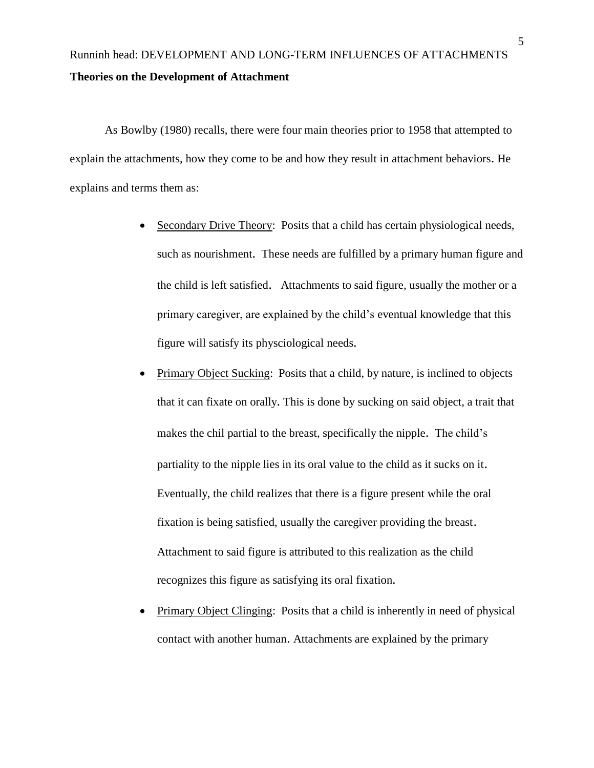# Runninh head: DEVELOPMENT AND LONG-TERM INFLUENCES OF ATTACHMENTS **Theories on the Development of Attachment**

As Bowlby (1980) recalls, there were four main theories prior to 1958 that attempted to explain the attachments, how they come to be and how they result in attachment behaviors. He explains and terms them as:

- Secondary Drive Theory: Posits that a child has certain physiological needs, such as nourishment. These needs are fulfilled by a primary human figure and the child is left satisfied. Attachments to said figure, usually the mother or a primary caregiver, are explained by the child's eventual knowledge that this figure will satisfy its physciological needs.
- Primary Object Sucking: Posits that a child, by nature, is inclined to objects that it can fixate on orally. This is done by sucking on said object, a trait that makes the chil partial to the breast, specifically the nipple. The child's partiality to the nipple lies in its oral value to the child as it sucks on it. Eventually, the child realizes that there is a figure present while the oral fixation is being satisfied, usually the caregiver providing the breast. Attachment to said figure is attributed to this realization as the child recognizes this figure as satisfying its oral fixation.
- Primary Object Clinging: Posits that a child is inherently in need of physical contact with another human. Attachments are explained by the primary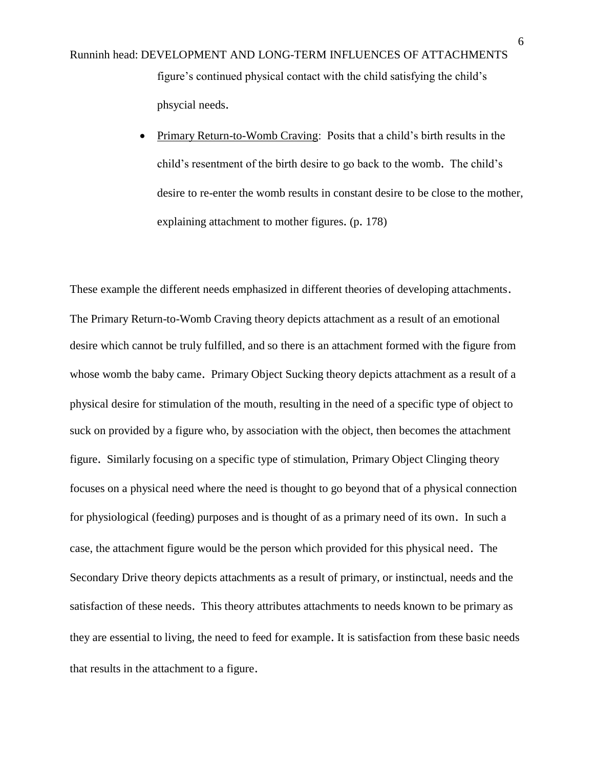Runninh head: DEVELOPMENT AND LONG-TERM INFLUENCES OF ATTACHMENTS figure's continued physical contact with the child satisfying the child's phsycial needs.

> • Primary Return-to-Womb Craving: Posits that a child's birth results in the child's resentment of the birth desire to go back to the womb. The child's desire to re-enter the womb results in constant desire to be close to the mother, explaining attachment to mother figures. (p. 178)

These example the different needs emphasized in different theories of developing attachments. The Primary Return-to-Womb Craving theory depicts attachment as a result of an emotional desire which cannot be truly fulfilled, and so there is an attachment formed with the figure from whose womb the baby came. Primary Object Sucking theory depicts attachment as a result of a physical desire for stimulation of the mouth, resulting in the need of a specific type of object to suck on provided by a figure who, by association with the object, then becomes the attachment figure. Similarly focusing on a specific type of stimulation, Primary Object Clinging theory focuses on a physical need where the need is thought to go beyond that of a physical connection for physiological (feeding) purposes and is thought of as a primary need of its own. In such a case, the attachment figure would be the person which provided for this physical need. The Secondary Drive theory depicts attachments as a result of primary, or instinctual, needs and the satisfaction of these needs. This theory attributes attachments to needs known to be primary as they are essential to living, the need to feed for example. It is satisfaction from these basic needs that results in the attachment to a figure.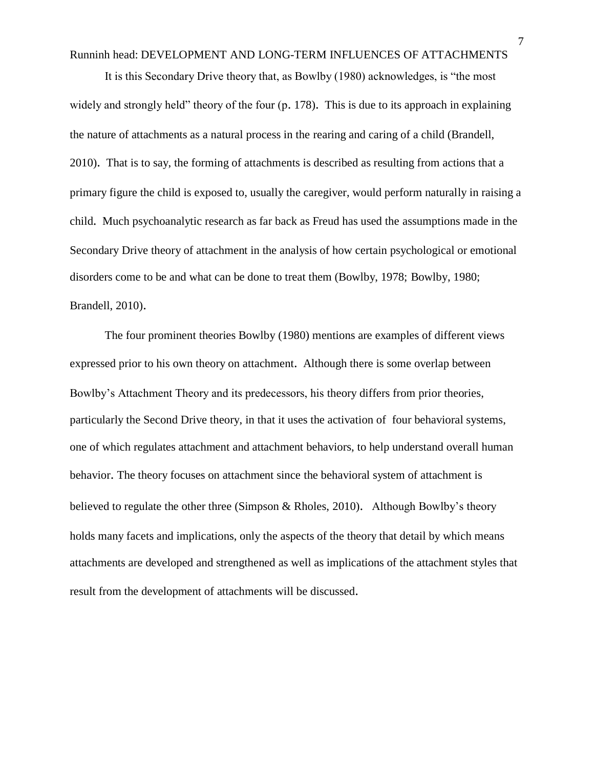It is this Secondary Drive theory that, as Bowlby (1980) acknowledges, is "the most widely and strongly held" theory of the four (p. 178). This is due to its approach in explaining the nature of attachments as a natural process in the rearing and caring of a child (Brandell, 2010). That is to say, the forming of attachments is described as resulting from actions that a primary figure the child is exposed to, usually the caregiver, would perform naturally in raising a child. Much psychoanalytic research as far back as Freud has used the assumptions made in the Secondary Drive theory of attachment in the analysis of how certain psychological or emotional disorders come to be and what can be done to treat them (Bowlby, 1978; Bowlby, 1980; Brandell, 2010).

The four prominent theories Bowlby (1980) mentions are examples of different views expressed prior to his own theory on attachment. Although there is some overlap between Bowlby's Attachment Theory and its predecessors, his theory differs from prior theories, particularly the Second Drive theory, in that it uses the activation of four behavioral systems, one of which regulates attachment and attachment behaviors, to help understand overall human behavior. The theory focuses on attachment since the behavioral system of attachment is believed to regulate the other three (Simpson & Rholes, 2010). Although Bowlby's theory holds many facets and implications, only the aspects of the theory that detail by which means attachments are developed and strengthened as well as implications of the attachment styles that result from the development of attachments will be discussed.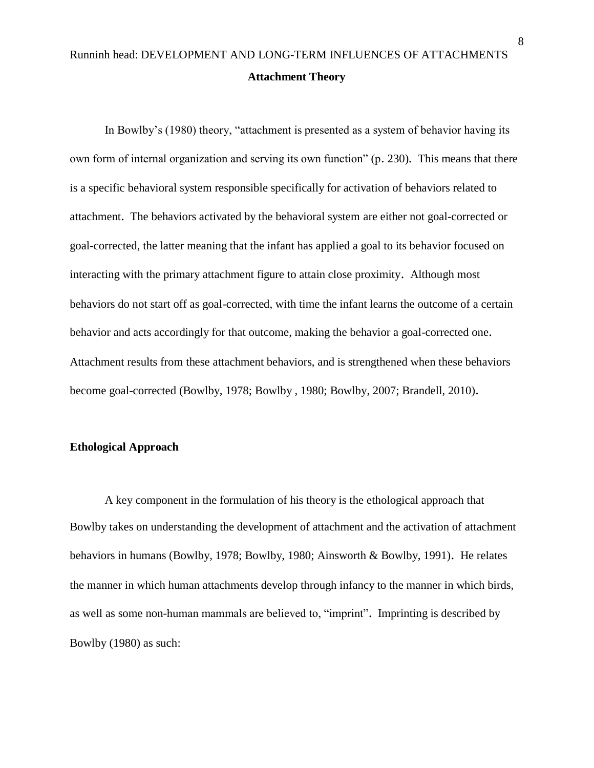# Runninh head: DEVELOPMENT AND LONG-TERM INFLUENCES OF ATTACHMENTS **Attachment Theory**

In Bowlby's (1980) theory, "attachment is presented as a system of behavior having its own form of internal organization and serving its own function" (p. 230). This means that there is a specific behavioral system responsible specifically for activation of behaviors related to attachment. The behaviors activated by the behavioral system are either not goal-corrected or goal-corrected, the latter meaning that the infant has applied a goal to its behavior focused on interacting with the primary attachment figure to attain close proximity. Although most behaviors do not start off as goal-corrected, with time the infant learns the outcome of a certain behavior and acts accordingly for that outcome, making the behavior a goal-corrected one. Attachment results from these attachment behaviors, and is strengthened when these behaviors become goal-corrected (Bowlby, 1978; Bowlby , 1980; Bowlby, 2007; Brandell, 2010).

### **Ethological Approach**

A key component in the formulation of his theory is the ethological approach that Bowlby takes on understanding the development of attachment and the activation of attachment behaviors in humans (Bowlby, 1978; Bowlby, 1980; Ainsworth & Bowlby, 1991). He relates the manner in which human attachments develop through infancy to the manner in which birds, as well as some non-human mammals are believed to, "imprint". Imprinting is described by Bowlby (1980) as such: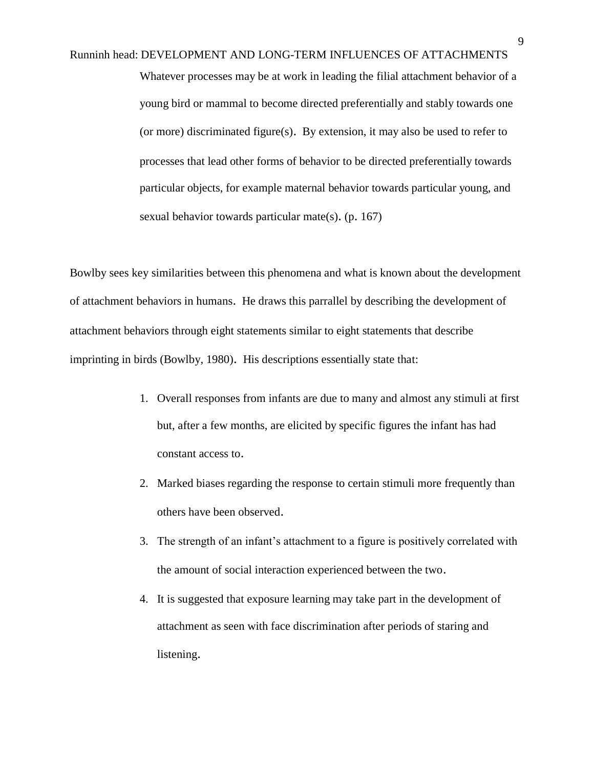Runninh head: DEVELOPMENT AND LONG-TERM INFLUENCES OF ATTACHMENTS Whatever processes may be at work in leading the filial attachment behavior of a young bird or mammal to become directed preferentially and stably towards one (or more) discriminated figure(s). By extension, it may also be used to refer to processes that lead other forms of behavior to be directed preferentially towards particular objects, for example maternal behavior towards particular young, and sexual behavior towards particular mate(s). (p. 167)

Bowlby sees key similarities between this phenomena and what is known about the development of attachment behaviors in humans. He draws this parrallel by describing the development of attachment behaviors through eight statements similar to eight statements that describe imprinting in birds (Bowlby, 1980). His descriptions essentially state that:

- 1. Overall responses from infants are due to many and almost any stimuli at first but, after a few months, are elicited by specific figures the infant has had constant access to.
- 2. Marked biases regarding the response to certain stimuli more frequently than others have been observed.
- 3. The strength of an infant's attachment to a figure is positively correlated with the amount of social interaction experienced between the two.
- 4. It is suggested that exposure learning may take part in the development of attachment as seen with face discrimination after periods of staring and listening.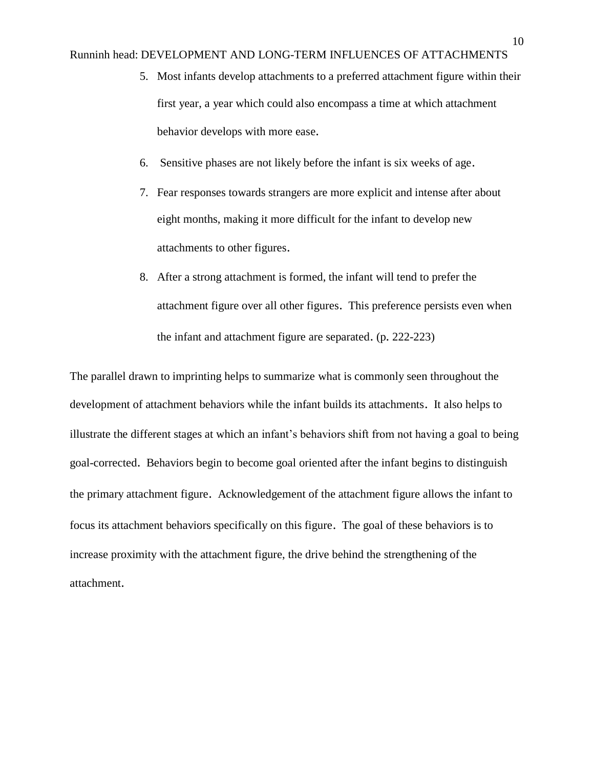- 5. Most infants develop attachments to a preferred attachment figure within their first year, a year which could also encompass a time at which attachment behavior develops with more ease.
- 6. Sensitive phases are not likely before the infant is six weeks of age.
- 7. Fear responses towards strangers are more explicit and intense after about eight months, making it more difficult for the infant to develop new attachments to other figures.
- 8. After a strong attachment is formed, the infant will tend to prefer the attachment figure over all other figures. This preference persists even when the infant and attachment figure are separated. (p. 222-223)

The parallel drawn to imprinting helps to summarize what is commonly seen throughout the development of attachment behaviors while the infant builds its attachments. It also helps to illustrate the different stages at which an infant's behaviors shift from not having a goal to being goal-corrected. Behaviors begin to become goal oriented after the infant begins to distinguish the primary attachment figure. Acknowledgement of the attachment figure allows the infant to focus its attachment behaviors specifically on this figure. The goal of these behaviors is to increase proximity with the attachment figure, the drive behind the strengthening of the attachment.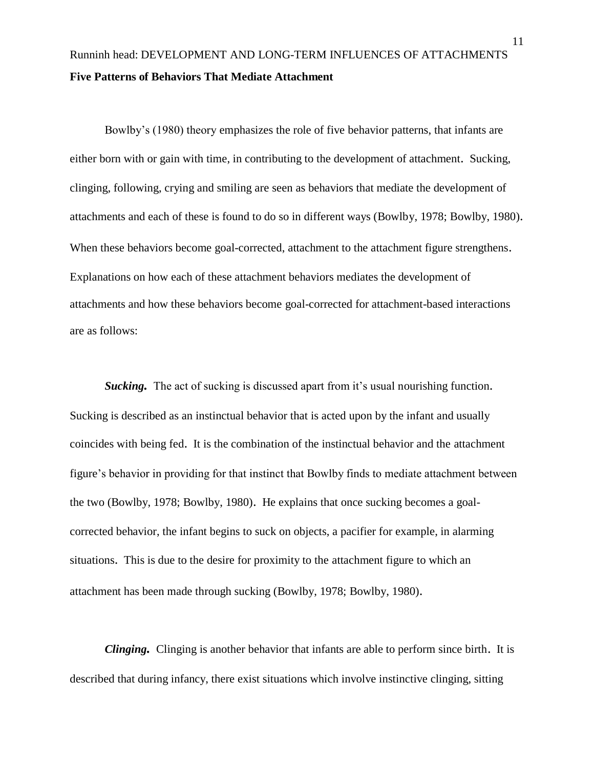# Runninh head: DEVELOPMENT AND LONG-TERM INFLUENCES OF ATTACHMENTS **Five Patterns of Behaviors That Mediate Attachment**

Bowlby's (1980) theory emphasizes the role of five behavior patterns, that infants are either born with or gain with time, in contributing to the development of attachment. Sucking, clinging, following, crying and smiling are seen as behaviors that mediate the development of attachments and each of these is found to do so in different ways (Bowlby, 1978; Bowlby, 1980). When these behaviors become goal-corrected, attachment to the attachment figure strengthens. Explanations on how each of these attachment behaviors mediates the development of attachments and how these behaviors become goal-corrected for attachment-based interactions are as follows:

*Sucking*. The act of sucking is discussed apart from it's usual nourishing function. Sucking is described as an instinctual behavior that is acted upon by the infant and usually coincides with being fed. It is the combination of the instinctual behavior and the attachment figure's behavior in providing for that instinct that Bowlby finds to mediate attachment between the two (Bowlby, 1978; Bowlby, 1980). He explains that once sucking becomes a goalcorrected behavior, the infant begins to suck on objects, a pacifier for example, in alarming situations. This is due to the desire for proximity to the attachment figure to which an attachment has been made through sucking (Bowlby, 1978; Bowlby, 1980).

*Clinging.* Clinging is another behavior that infants are able to perform since birth. It is described that during infancy, there exist situations which involve instinctive clinging, sitting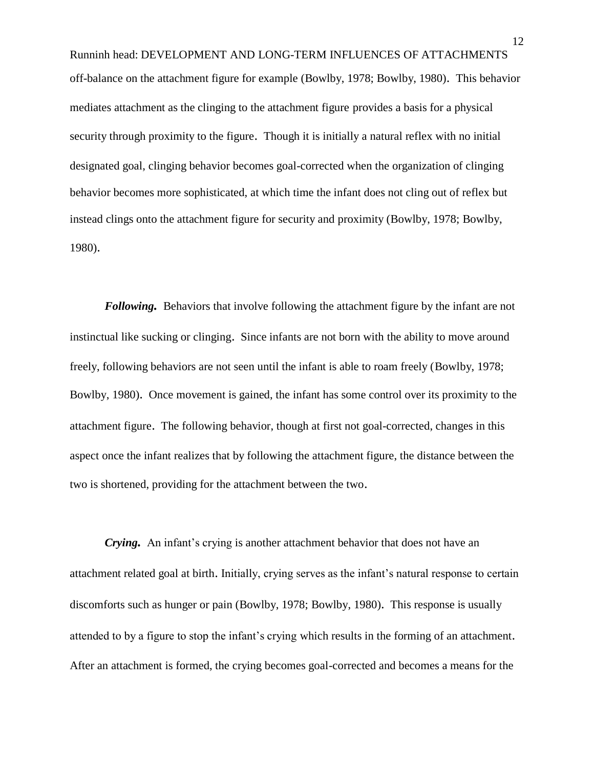Runninh head: DEVELOPMENT AND LONG-TERM INFLUENCES OF ATTACHMENTS off-balance on the attachment figure for example (Bowlby, 1978; Bowlby, 1980). This behavior mediates attachment as the clinging to the attachment figure provides a basis for a physical security through proximity to the figure. Though it is initially a natural reflex with no initial designated goal, clinging behavior becomes goal-corrected when the organization of clinging behavior becomes more sophisticated, at which time the infant does not cling out of reflex but instead clings onto the attachment figure for security and proximity (Bowlby, 1978; Bowlby, 1980).

*Following.* Behaviors that involve following the attachment figure by the infant are not instinctual like sucking or clinging. Since infants are not born with the ability to move around freely, following behaviors are not seen until the infant is able to roam freely (Bowlby, 1978; Bowlby, 1980). Once movement is gained, the infant has some control over its proximity to the attachment figure. The following behavior, though at first not goal-corrected, changes in this aspect once the infant realizes that by following the attachment figure, the distance between the two is shortened, providing for the attachment between the two.

*Crying.* An infant's crying is another attachment behavior that does not have an attachment related goal at birth. Initially, crying serves as the infant's natural response to certain discomforts such as hunger or pain (Bowlby, 1978; Bowlby, 1980). This response is usually attended to by a figure to stop the infant's crying which results in the forming of an attachment. After an attachment is formed, the crying becomes goal-corrected and becomes a means for the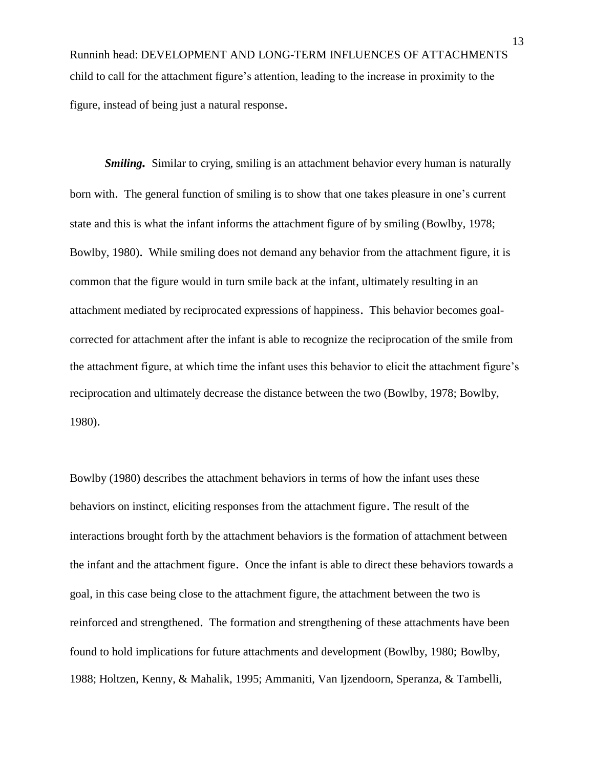Runninh head: DEVELOPMENT AND LONG-TERM INFLUENCES OF ATTACHMENTS child to call for the attachment figure's attention, leading to the increase in proximity to the figure, instead of being just a natural response.

*Smiling.* Similar to crying, smiling is an attachment behavior every human is naturally born with. The general function of smiling is to show that one takes pleasure in one's current state and this is what the infant informs the attachment figure of by smiling (Bowlby, 1978; Bowlby, 1980). While smiling does not demand any behavior from the attachment figure, it is common that the figure would in turn smile back at the infant, ultimately resulting in an attachment mediated by reciprocated expressions of happiness. This behavior becomes goalcorrected for attachment after the infant is able to recognize the reciprocation of the smile from the attachment figure, at which time the infant uses this behavior to elicit the attachment figure's reciprocation and ultimately decrease the distance between the two (Bowlby, 1978; Bowlby, 1980).

Bowlby (1980) describes the attachment behaviors in terms of how the infant uses these behaviors on instinct, eliciting responses from the attachment figure. The result of the interactions brought forth by the attachment behaviors is the formation of attachment between the infant and the attachment figure. Once the infant is able to direct these behaviors towards a goal, in this case being close to the attachment figure, the attachment between the two is reinforced and strengthened. The formation and strengthening of these attachments have been found to hold implications for future attachments and development (Bowlby, 1980; Bowlby, 1988; Holtzen, Kenny, & Mahalik, 1995; Ammaniti, Van Ijzendoorn, Speranza, & Tambelli,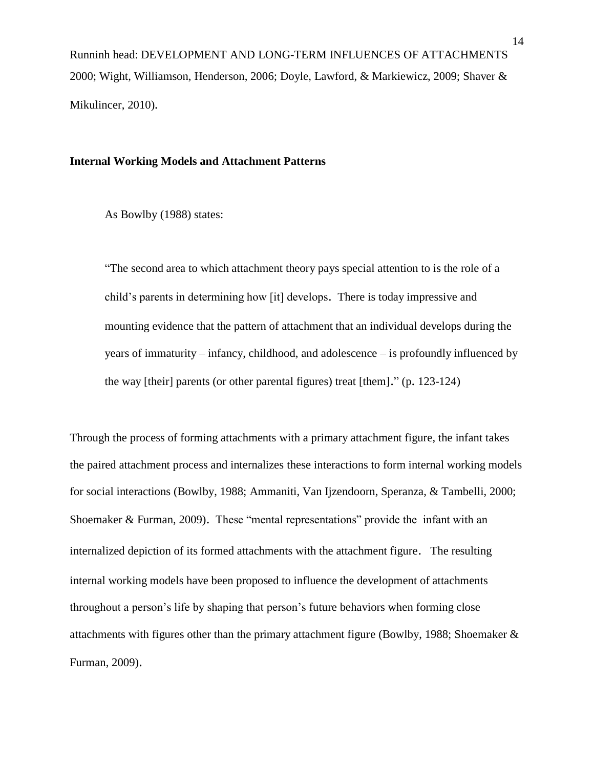Runninh head: DEVELOPMENT AND LONG-TERM INFLUENCES OF ATTACHMENTS 2000; Wight, Williamson, Henderson, 2006; Doyle, Lawford, & Markiewicz, 2009; Shaver & Mikulincer, 2010).

### **Internal Working Models and Attachment Patterns**

As Bowlby (1988) states:

"The second area to which attachment theory pays special attention to is the role of a child's parents in determining how [it] develops. There is today impressive and mounting evidence that the pattern of attachment that an individual develops during the years of immaturity – infancy, childhood, and adolescence – is profoundly influenced by the way [their] parents (or other parental figures) treat [them]." (p. 123-124)

Through the process of forming attachments with a primary attachment figure, the infant takes the paired attachment process and internalizes these interactions to form internal working models for social interactions (Bowlby, 1988; Ammaniti, Van Ijzendoorn, Speranza, & Tambelli, 2000; Shoemaker & Furman, 2009). These "mental representations" provide the infant with an internalized depiction of its formed attachments with the attachment figure. The resulting internal working models have been proposed to influence the development of attachments throughout a person's life by shaping that person's future behaviors when forming close attachments with figures other than the primary attachment figure (Bowlby, 1988; Shoemaker  $\&$ Furman, 2009).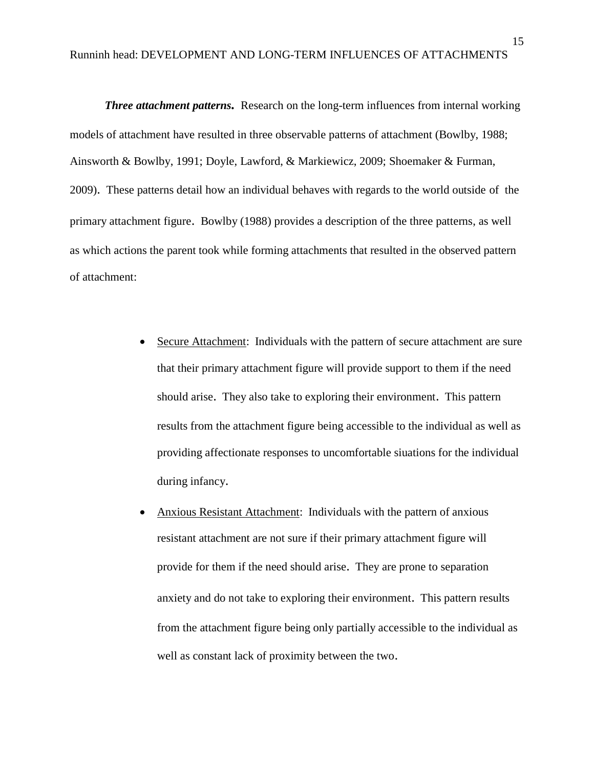*Three attachment patterns.* Research on the long-term influences from internal working models of attachment have resulted in three observable patterns of attachment (Bowlby, 1988; Ainsworth & Bowlby, 1991; Doyle, Lawford, & Markiewicz, 2009; Shoemaker & Furman, 2009). These patterns detail how an individual behaves with regards to the world outside of the primary attachment figure. Bowlby (1988) provides a description of the three patterns, as well as which actions the parent took while forming attachments that resulted in the observed pattern of attachment:

- Secure Attachment: Individuals with the pattern of secure attachment are sure that their primary attachment figure will provide support to them if the need should arise. They also take to exploring their environment. This pattern results from the attachment figure being accessible to the individual as well as providing affectionate responses to uncomfortable siuations for the individual during infancy.
- Anxious Resistant Attachment: Individuals with the pattern of anxious resistant attachment are not sure if their primary attachment figure will provide for them if the need should arise. They are prone to separation anxiety and do not take to exploring their environment. This pattern results from the attachment figure being only partially accessible to the individual as well as constant lack of proximity between the two.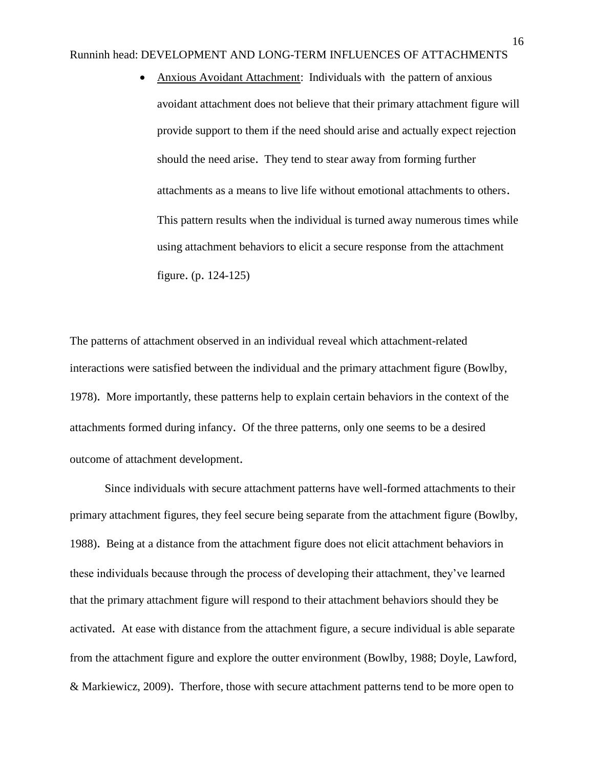Anxious Avoidant Attachment: Individuals with the pattern of anxious avoidant attachment does not believe that their primary attachment figure will provide support to them if the need should arise and actually expect rejection should the need arise. They tend to stear away from forming further attachments as a means to live life without emotional attachments to others. This pattern results when the individual is turned away numerous times while using attachment behaviors to elicit a secure response from the attachment figure. (p. 124-125)

The patterns of attachment observed in an individual reveal which attachment-related interactions were satisfied between the individual and the primary attachment figure (Bowlby, 1978). More importantly, these patterns help to explain certain behaviors in the context of the attachments formed during infancy. Of the three patterns, only one seems to be a desired outcome of attachment development.

Since individuals with secure attachment patterns have well-formed attachments to their primary attachment figures, they feel secure being separate from the attachment figure (Bowlby, 1988). Being at a distance from the attachment figure does not elicit attachment behaviors in these individuals because through the process of developing their attachment, they've learned that the primary attachment figure will respond to their attachment behaviors should they be activated. At ease with distance from the attachment figure, a secure individual is able separate from the attachment figure and explore the outter environment (Bowlby, 1988; Doyle, Lawford, & Markiewicz, 2009). Therfore, those with secure attachment patterns tend to be more open to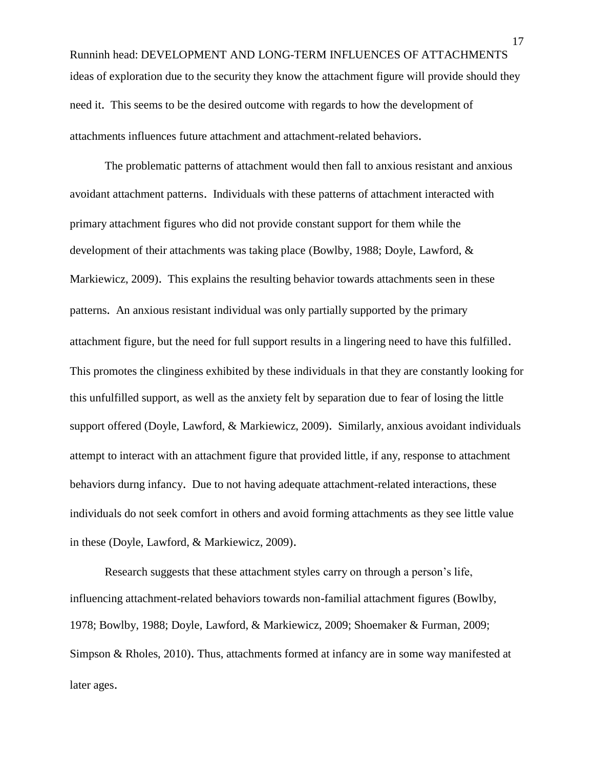Runninh head: DEVELOPMENT AND LONG-TERM INFLUENCES OF ATTACHMENTS ideas of exploration due to the security they know the attachment figure will provide should they need it. This seems to be the desired outcome with regards to how the development of attachments influences future attachment and attachment-related behaviors.

The problematic patterns of attachment would then fall to anxious resistant and anxious avoidant attachment patterns. Individuals with these patterns of attachment interacted with primary attachment figures who did not provide constant support for them while the development of their attachments was taking place (Bowlby, 1988; Doyle, Lawford, & Markiewicz, 2009). This explains the resulting behavior towards attachments seen in these patterns. An anxious resistant individual was only partially supported by the primary attachment figure, but the need for full support results in a lingering need to have this fulfilled. This promotes the clinginess exhibited by these individuals in that they are constantly looking for this unfulfilled support, as well as the anxiety felt by separation due to fear of losing the little support offered (Doyle, Lawford, & Markiewicz, 2009). Similarly, anxious avoidant individuals attempt to interact with an attachment figure that provided little, if any, response to attachment behaviors durng infancy. Due to not having adequate attachment-related interactions, these individuals do not seek comfort in others and avoid forming attachments as they see little value in these (Doyle, Lawford, & Markiewicz, 2009).

Research suggests that these attachment styles carry on through a person's life, influencing attachment-related behaviors towards non-familial attachment figures (Bowlby, 1978; Bowlby, 1988; Doyle, Lawford, & Markiewicz, 2009; Shoemaker & Furman, 2009; Simpson & Rholes, 2010). Thus, attachments formed at infancy are in some way manifested at later ages.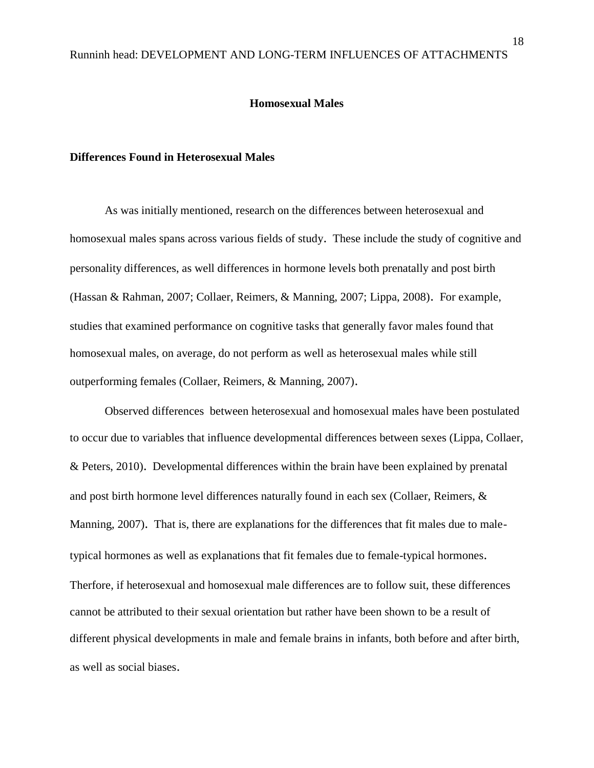### **Homosexual Males**

### **Differences Found in Heterosexual Males**

As was initially mentioned, research on the differences between heterosexual and homosexual males spans across various fields of study. These include the study of cognitive and personality differences, as well differences in hormone levels both prenatally and post birth (Hassan & Rahman, 2007; Collaer, Reimers, & Manning, 2007; Lippa, 2008). For example, studies that examined performance on cognitive tasks that generally favor males found that homosexual males, on average, do not perform as well as heterosexual males while still outperforming females (Collaer, Reimers, & Manning, 2007).

Observed differences between heterosexual and homosexual males have been postulated to occur due to variables that influence developmental differences between sexes (Lippa, Collaer, & Peters, 2010). Developmental differences within the brain have been explained by prenatal and post birth hormone level differences naturally found in each sex (Collaer, Reimers, & Manning, 2007). That is, there are explanations for the differences that fit males due to maletypical hormones as well as explanations that fit females due to female-typical hormones. Therfore, if heterosexual and homosexual male differences are to follow suit, these differences cannot be attributed to their sexual orientation but rather have been shown to be a result of different physical developments in male and female brains in infants, both before and after birth, as well as social biases.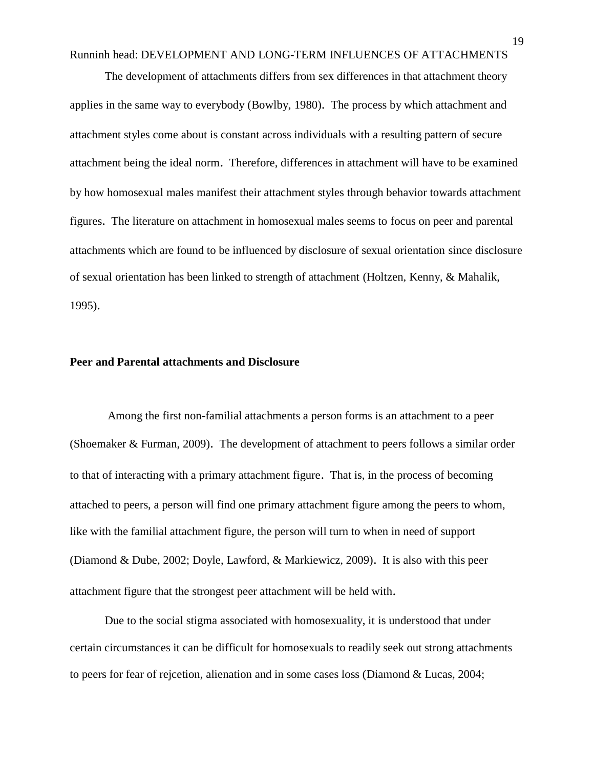The development of attachments differs from sex differences in that attachment theory applies in the same way to everybody (Bowlby, 1980). The process by which attachment and attachment styles come about is constant across individuals with a resulting pattern of secure attachment being the ideal norm. Therefore, differences in attachment will have to be examined by how homosexual males manifest their attachment styles through behavior towards attachment figures. The literature on attachment in homosexual males seems to focus on peer and parental attachments which are found to be influenced by disclosure of sexual orientation since disclosure of sexual orientation has been linked to strength of attachment (Holtzen, Kenny, & Mahalik, 1995).

### **Peer and Parental attachments and Disclosure**

Among the first non-familial attachments a person forms is an attachment to a peer (Shoemaker & Furman, 2009). The development of attachment to peers follows a similar order to that of interacting with a primary attachment figure. That is, in the process of becoming attached to peers, a person will find one primary attachment figure among the peers to whom, like with the familial attachment figure, the person will turn to when in need of support (Diamond & Dube, 2002; Doyle, Lawford, & Markiewicz, 2009). It is also with this peer attachment figure that the strongest peer attachment will be held with.

Due to the social stigma associated with homosexuality, it is understood that under certain circumstances it can be difficult for homosexuals to readily seek out strong attachments to peers for fear of rejcetion, alienation and in some cases loss (Diamond & Lucas, 2004;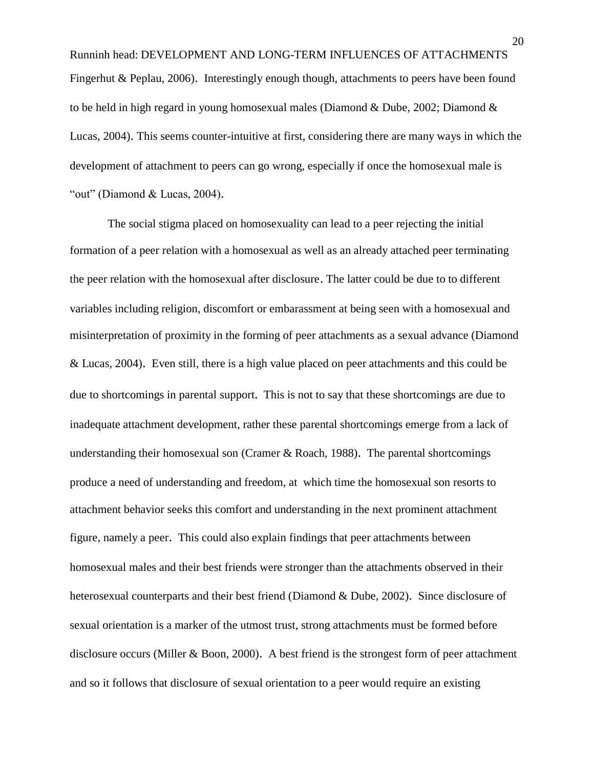Runninh head: DEVELOPMENT AND LONG-TERM INFLUENCES OF ATTACHMENTS Fingerhut & Peplau, 2006). Interestingly enough though, attachments to peers have been found to be held in high regard in young homosexual males (Diamond & Dube, 2002; Diamond & Lucas, 2004). This seems counter-intuitive at first, considering there are many ways in which the development of attachment to peers can go wrong, especially if once the homosexual male is "out" (Diamond & Lucas, 2004).

The social stigma placed on homosexuality can lead to a peer rejecting the initial formation of a peer relation with a homosexual as well as an already attached peer terminating the peer relation with the homosexual after disclosure. The latter could be due to to different variables including religion, discomfort or embarassment at being seen with a homosexual and misinterpretation of proximity in the forming of peer attachments as a sexual advance (Diamond & Lucas, 2004). Even still, there is a high value placed on peer attachments and this could be due to shortcomings in parental support. This is not to say that these shortcomings are due to inadequate attachment development, rather these parental shortcomings emerge from a lack of understanding their homosexual son (Cramer & Roach, 1988). The parental shortcomings produce a need of understanding and freedom, at which time the homosexual son resorts to attachment behavior seeks this comfort and understanding in the next prominent attachment figure, namely a peer. This could also explain findings that peer attachments between homosexual males and their best friends were stronger than the attachments observed in their heterosexual counterparts and their best friend (Diamond & Dube, 2002). Since disclosure of sexual orientation is a marker of the utmost trust, strong attachments must be formed before disclosure occurs (Miller & Boon, 2000). A best friend is the strongest form of peer attachment and so it follows that disclosure of sexual orientation to a peer would require an existing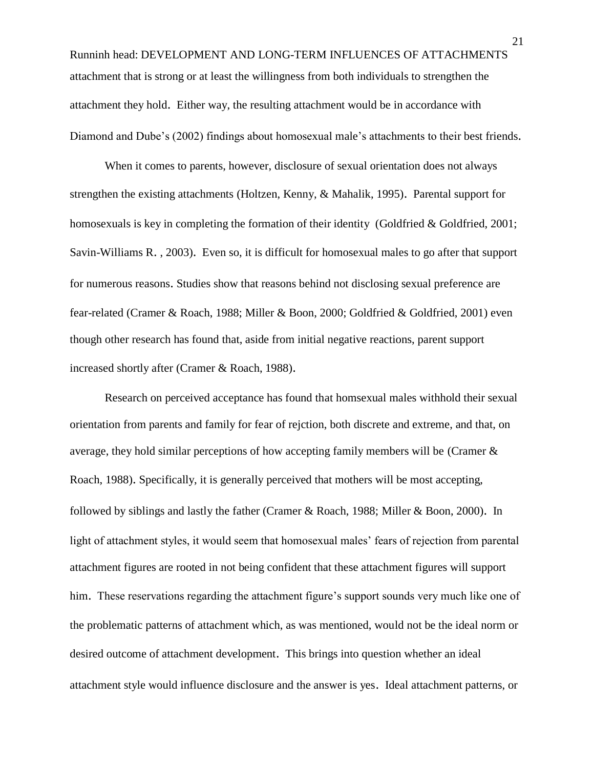Runninh head: DEVELOPMENT AND LONG-TERM INFLUENCES OF ATTACHMENTS attachment that is strong or at least the willingness from both individuals to strengthen the attachment they hold. Either way, the resulting attachment would be in accordance with Diamond and Dube's (2002) findings about homosexual male's attachments to their best friends.

When it comes to parents, however, disclosure of sexual orientation does not always strengthen the existing attachments (Holtzen, Kenny, & Mahalik, 1995). Parental support for homosexuals is key in completing the formation of their identity (Goldfried & Goldfried, 2001; Savin-Williams R. , 2003). Even so, it is difficult for homosexual males to go after that support for numerous reasons. Studies show that reasons behind not disclosing sexual preference are fear-related (Cramer & Roach, 1988; Miller & Boon, 2000; Goldfried & Goldfried, 2001) even though other research has found that, aside from initial negative reactions, parent support increased shortly after (Cramer & Roach, 1988).

Research on perceived acceptance has found that homsexual males withhold their sexual orientation from parents and family for fear of rejction, both discrete and extreme, and that, on average, they hold similar perceptions of how accepting family members will be (Cramer & Roach, 1988). Specifically, it is generally perceived that mothers will be most accepting, followed by siblings and lastly the father (Cramer & Roach, 1988; Miller & Boon, 2000). In light of attachment styles, it would seem that homosexual males' fears of rejection from parental attachment figures are rooted in not being confident that these attachment figures will support him. These reservations regarding the attachment figure's support sounds very much like one of the problematic patterns of attachment which, as was mentioned, would not be the ideal norm or desired outcome of attachment development. This brings into question whether an ideal attachment style would influence disclosure and the answer is yes. Ideal attachment patterns, or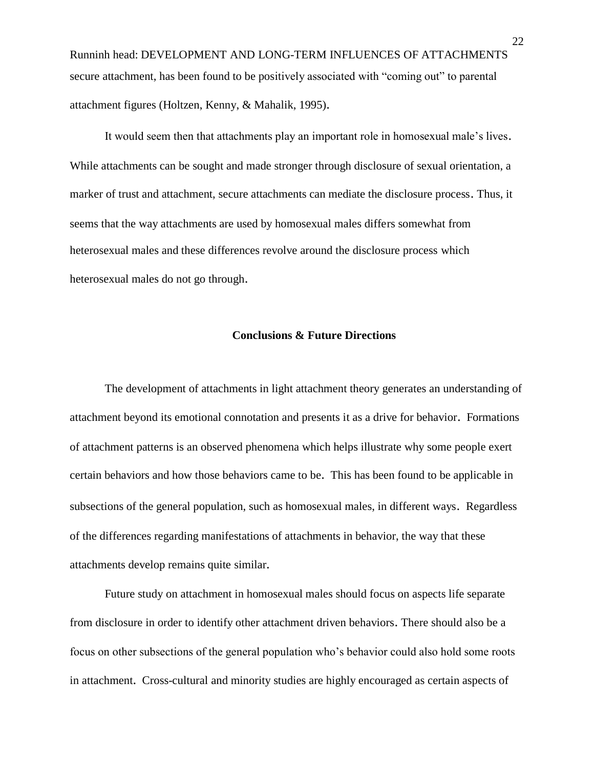Runninh head: DEVELOPMENT AND LONG-TERM INFLUENCES OF ATTACHMENTS secure attachment, has been found to be positively associated with "coming out" to parental attachment figures (Holtzen, Kenny, & Mahalik, 1995).

It would seem then that attachments play an important role in homosexual male's lives. While attachments can be sought and made stronger through disclosure of sexual orientation, a marker of trust and attachment, secure attachments can mediate the disclosure process. Thus, it seems that the way attachments are used by homosexual males differs somewhat from heterosexual males and these differences revolve around the disclosure process which heterosexual males do not go through.

### **Conclusions & Future Directions**

The development of attachments in light attachment theory generates an understanding of attachment beyond its emotional connotation and presents it as a drive for behavior. Formations of attachment patterns is an observed phenomena which helps illustrate why some people exert certain behaviors and how those behaviors came to be. This has been found to be applicable in subsections of the general population, such as homosexual males, in different ways. Regardless of the differences regarding manifestations of attachments in behavior, the way that these attachments develop remains quite similar.

Future study on attachment in homosexual males should focus on aspects life separate from disclosure in order to identify other attachment driven behaviors. There should also be a focus on other subsections of the general population who's behavior could also hold some roots in attachment. Cross-cultural and minority studies are highly encouraged as certain aspects of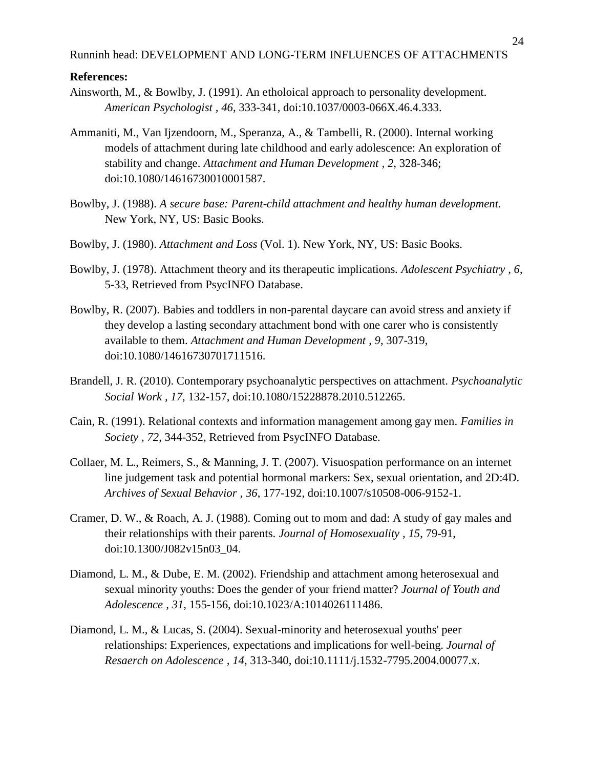### **References:**

- Ainsworth, M., & Bowlby, J. (1991). An etholoical approach to personality development. *American Psychologist , 46*, 333-341, doi:10.1037/0003-066X.46.4.333.
- Ammaniti, M., Van Ijzendoorn, M., Speranza, A., & Tambelli, R. (2000). Internal working models of attachment during late childhood and early adolescence: An exploration of stability and change. *Attachment and Human Development , 2*, 328-346; doi:10.1080/14616730010001587.
- Bowlby, J. (1988). *A secure base: Parent-child attachment and healthy human development.* New York, NY, US: Basic Books.
- Bowlby, J. (1980). *Attachment and Loss* (Vol. 1). New York, NY, US: Basic Books.
- Bowlby, J. (1978). Attachment theory and its therapeutic implications. *Adolescent Psychiatry , 6*, 5-33, Retrieved from PsycINFO Database.
- Bowlby, R. (2007). Babies and toddlers in non-parental daycare can avoid stress and anxiety if they develop a lasting secondary attachment bond with one carer who is consistently available to them. *Attachment and Human Development , 9*, 307-319, doi:10.1080/14616730701711516.
- Brandell, J. R. (2010). Contemporary psychoanalytic perspectives on attachment. *Psychoanalytic Social Work , 17*, 132-157, doi:10.1080/15228878.2010.512265.
- Cain, R. (1991). Relational contexts and information management among gay men. *Families in Society , 72*, 344-352, Retrieved from PsycINFO Database.
- Collaer, M. L., Reimers, S., & Manning, J. T. (2007). Visuospation performance on an internet line judgement task and potential hormonal markers: Sex, sexual orientation, and 2D:4D. *Archives of Sexual Behavior , 36*, 177-192, doi:10.1007/s10508-006-9152-1.
- Cramer, D. W., & Roach, A. J. (1988). Coming out to mom and dad: A study of gay males and their relationships with their parents. *Journal of Homosexuality , 15*, 79-91, doi:10.1300/J082v15n03\_04.
- Diamond, L. M., & Dube, E. M. (2002). Friendship and attachment among heterosexual and sexual minority youths: Does the gender of your friend matter? *Journal of Youth and Adolescence , 31*, 155-156, doi:10.1023/A:1014026111486.
- Diamond, L. M., & Lucas, S. (2004). Sexual-minority and heterosexual youths' peer relationships: Experiences, expectations and implications for well-being. *Journal of Resaerch on Adolescence , 14*, 313-340, doi:10.1111/j.1532-7795.2004.00077.x.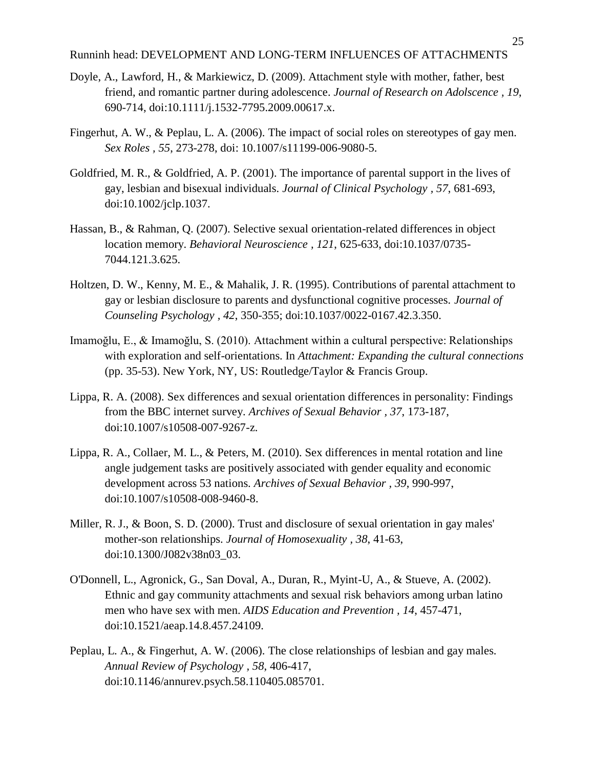- Doyle, A., Lawford, H., & Markiewicz, D. (2009). Attachment style with mother, father, best friend, and romantic partner during adolescence. *Journal of Research on Adolscence , 19*, 690-714, doi:10.1111/j.1532-7795.2009.00617.x.
- Fingerhut, A. W., & Peplau, L. A. (2006). The impact of social roles on stereotypes of gay men. *Sex Roles , 55*, 273-278, doi: 10.1007/s11199-006-9080-5.
- Goldfried, M. R., & Goldfried, A. P. (2001). The importance of parental support in the lives of gay, lesbian and bisexual individuals. *Journal of Clinical Psychology , 57*, 681-693, doi:10.1002/jclp.1037.
- Hassan, B., & Rahman, Q. (2007). Selective sexual orientation-related differences in object location memory. *Behavioral Neuroscience , 121*, 625-633, doi:10.1037/0735- 7044.121.3.625.
- Holtzen, D. W., Kenny, M. E., & Mahalik, J. R. (1995). Contributions of parental attachment to gay or lesbian disclosure to parents and dysfunctional cognitive processes. *Journal of Counseling Psychology , 42*, 350-355; doi:10.1037/0022-0167.42.3.350.
- Imamoğlu, E., & Imamoğlu, S. (2010). Attachment within a cultural perspective: Relationships with exploration and self-orientations. In *Attachment: Expanding the cultural connections* (pp. 35-53). New York, NY, US: Routledge/Taylor & Francis Group.
- Lippa, R. A. (2008). Sex differences and sexual orientation differences in personality: Findings from the BBC internet survey. *Archives of Sexual Behavior , 37*, 173-187, doi:10.1007/s10508-007-9267-z.
- Lippa, R. A., Collaer, M. L., & Peters, M. (2010). Sex differences in mental rotation and line angle judgement tasks are positively associated with gender equality and economic development across 53 nations. *Archives of Sexual Behavior , 39*, 990-997, doi:10.1007/s10508-008-9460-8.
- Miller, R. J., & Boon, S. D. (2000). Trust and disclosure of sexual orientation in gay males' mother-son relationships. *Journal of Homosexuality , 38*, 41-63, doi:10.1300/J082v38n03\_03.
- O'Donnell, L., Agronick, G., San Doval, A., Duran, R., Myint-U, A., & Stueve, A. (2002). Ethnic and gay community attachments and sexual risk behaviors among urban latino men who have sex with men. *AIDS Education and Prevention , 14*, 457-471, doi:10.1521/aeap.14.8.457.24109.
- Peplau, L. A., & Fingerhut, A. W. (2006). The close relationships of lesbian and gay males. *Annual Review of Psychology , 58*, 406-417, doi:10.1146/annurev.psych.58.110405.085701.